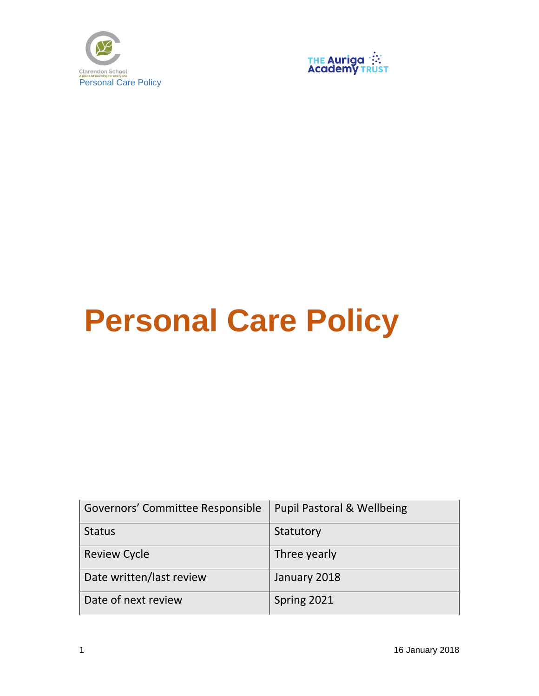



## **Personal Care Policy**

| Governors' Committee Responsible | Pupil Pastoral & Wellbeing |
|----------------------------------|----------------------------|
| <b>Status</b>                    | Statutory                  |
| <b>Review Cycle</b>              | Three yearly               |
| Date written/last review         | January 2018               |
| Date of next review              | Spring 2021                |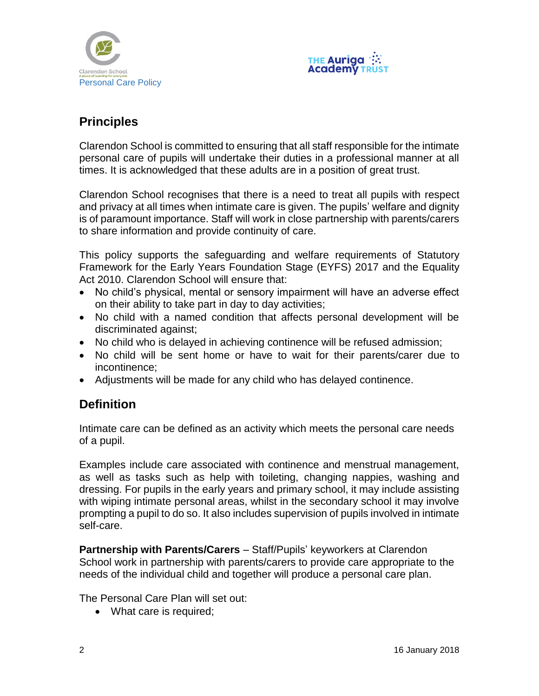



## **Principles**

Clarendon School is committed to ensuring that all staff responsible for the intimate personal care of pupils will undertake their duties in a professional manner at all times. It is acknowledged that these adults are in a position of great trust.

Clarendon School recognises that there is a need to treat all pupils with respect and privacy at all times when intimate care is given. The pupils' welfare and dignity is of paramount importance. Staff will work in close partnership with parents/carers to share information and provide continuity of care.

This policy supports the safeguarding and welfare requirements of Statutory Framework for the Early Years Foundation Stage (EYFS) 2017 and the Equality Act 2010. Clarendon School will ensure that:

- No child's physical, mental or sensory impairment will have an adverse effect on their ability to take part in day to day activities;
- No child with a named condition that affects personal development will be discriminated against;
- No child who is delayed in achieving continence will be refused admission;
- No child will be sent home or have to wait for their parents/carer due to incontinence;
- Adjustments will be made for any child who has delayed continence.

## **Definition**

Intimate care can be defined as an activity which meets the personal care needs of a pupil.

Examples include care associated with continence and menstrual management, as well as tasks such as help with toileting, changing nappies, washing and dressing. For pupils in the early years and primary school, it may include assisting with wiping intimate personal areas, whilst in the secondary school it may involve prompting a pupil to do so. It also includes supervision of pupils involved in intimate self-care.

**Partnership with Parents/Carers** – Staff/Pupils' keyworkers at Clarendon School work in partnership with parents/carers to provide care appropriate to the needs of the individual child and together will produce a personal care plan.

The Personal Care Plan will set out:

• What care is required;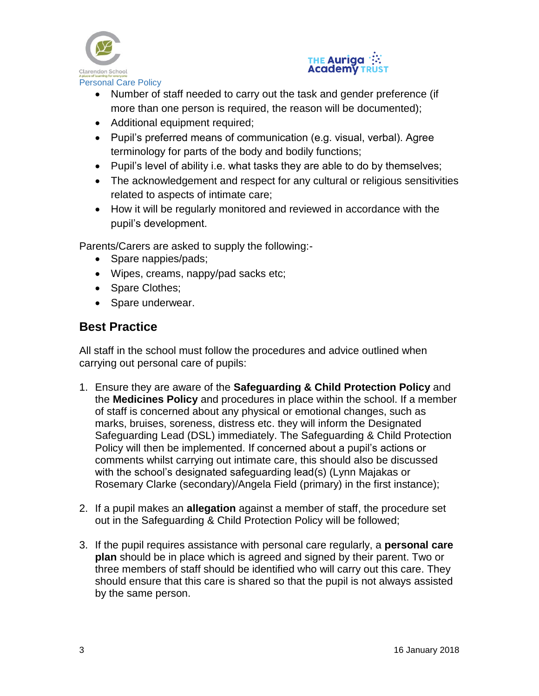



- Number of staff needed to carry out the task and gender preference (if more than one person is required, the reason will be documented);
- Additional equipment required;
- Pupil's preferred means of communication (e.g. visual, verbal). Agree terminology for parts of the body and bodily functions;
- Pupil's level of ability i.e. what tasks they are able to do by themselves;
- The acknowledgement and respect for any cultural or religious sensitivities related to aspects of intimate care;
- How it will be regularly monitored and reviewed in accordance with the pupil's development.

Parents/Carers are asked to supply the following:-

- Spare nappies/pads;
- Wipes, creams, nappy/pad sacks etc;
- Spare Clothes;
- Spare underwear.

## **Best Practice**

All staff in the school must follow the procedures and advice outlined when carrying out personal care of pupils:

- 1. Ensure they are aware of the **Safeguarding & Child Protection Policy** and the **Medicines Policy** and procedures in place within the school. If a member of staff is concerned about any physical or emotional changes, such as marks, bruises, soreness, distress etc. they will inform the Designated Safeguarding Lead (DSL) immediately. The Safeguarding & Child Protection Policy will then be implemented. If concerned about a pupil's actions or comments whilst carrying out intimate care, this should also be discussed with the school's designated safeguarding lead(s) (Lynn Majakas or Rosemary Clarke (secondary)/Angela Field (primary) in the first instance);
- 2. If a pupil makes an **allegation** against a member of staff, the procedure set out in the Safeguarding & Child Protection Policy will be followed;
- 3. If the pupil requires assistance with personal care regularly, a **personal care plan** should be in place which is agreed and signed by their parent. Two or three members of staff should be identified who will carry out this care. They should ensure that this care is shared so that the pupil is not always assisted by the same person.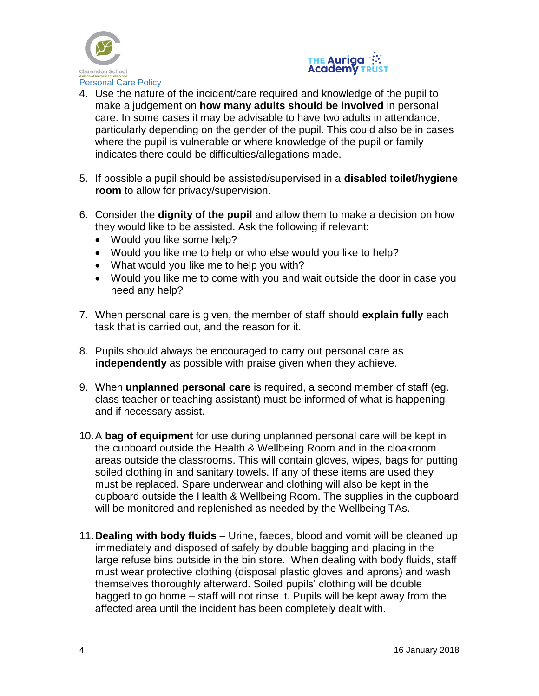



- 4. Use the nature of the incident/care required and knowledge of the pupil to make a judgement on **how many adults should be involved** in personal care. In some cases it may be advisable to have two adults in attendance, particularly depending on the gender of the pupil. This could also be in cases where the pupil is vulnerable or where knowledge of the pupil or family indicates there could be difficulties/allegations made.
- 5. If possible a pupil should be assisted/supervised in a **disabled toilet/hygiene room** to allow for privacy/supervision.
- 6. Consider the **dignity of the pupil** and allow them to make a decision on how they would like to be assisted. Ask the following if relevant:
	- Would you like some help?
	- Would you like me to help or who else would you like to help?
	- What would you like me to help you with?
	- Would you like me to come with you and wait outside the door in case you need any help?
- 7. When personal care is given, the member of staff should **explain fully** each task that is carried out, and the reason for it.
- 8. Pupils should always be encouraged to carry out personal care as **independently** as possible with praise given when they achieve.
- 9. When **unplanned personal care** is required, a second member of staff (eg. class teacher or teaching assistant) must be informed of what is happening and if necessary assist.
- 10.A **bag of equipment** for use during unplanned personal care will be kept in the cupboard outside the Health & Wellbeing Room and in the cloakroom areas outside the classrooms. This will contain gloves, wipes, bags for putting soiled clothing in and sanitary towels. If any of these items are used they must be replaced. Spare underwear and clothing will also be kept in the cupboard outside the Health & Wellbeing Room. The supplies in the cupboard will be monitored and replenished as needed by the Wellbeing TAs.
- 11.**Dealing with body fluids** Urine, faeces, blood and vomit will be cleaned up immediately and disposed of safely by double bagging and placing in the large refuse bins outside in the bin store. When dealing with body fluids, staff must wear protective clothing (disposal plastic gloves and aprons) and wash themselves thoroughly afterward. Soiled pupils' clothing will be double bagged to go home – staff will not rinse it. Pupils will be kept away from the affected area until the incident has been completely dealt with.